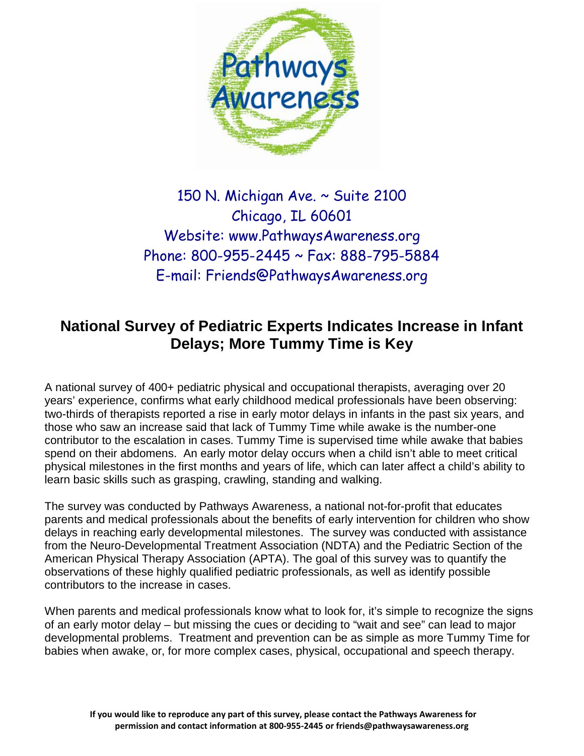

# 150 N. Michigan Ave. ~ Suite 2100 Chicago, IL 60601 Website: www.PathwaysAwareness.org Phone: 800-955-2445 ~ Fax: 888-795-5884 E-mail: [Friends@PathwaysAwareness.org](mailto:Friends@PathwaysAwareness.org)

# **National Survey of Pediatric Experts Indicates Increase in Infant Delays; More Tummy Time is Key**

A national survey of 400+ pediatric physical and occupational therapists, averaging over 20 years' experience, confirms what early childhood medical professionals have been observing: two-thirds of therapists reported a rise in early motor delays in infants in the past six years, and those who saw an increase said that lack of Tummy Time while awake is the number-one contributor to the escalation in cases. Tummy Time is supervised time while awake that babies spend on their abdomens. An early motor delay occurs when a child isn't able to meet critical physical milestones in the first months and years of life, which can later affect a child's ability to learn basic skills such as grasping, crawling, standing and walking.

The survey was conducted by Pathways Awareness, a national not-for-profit that educates parents and medical professionals about the benefits of early intervention for children who show delays in reaching early developmental milestones. The survey was conducted with assistance from the Neuro-Developmental Treatment Association (NDTA) and the Pediatric Section of the American Physical Therapy Association (APTA). The goal of this survey was to quantify the observations of these highly qualified pediatric professionals, as well as identify possible contributors to the increase in cases.

When parents and medical professionals know what to look for, it's simple to recognize the signs of an early motor delay – but missing the cues or deciding to "wait and see" can lead to major developmental problems. Treatment and prevention can be as simple as more Tummy Time for babies when awake, or, for more complex cases, physical, occupational and speech therapy.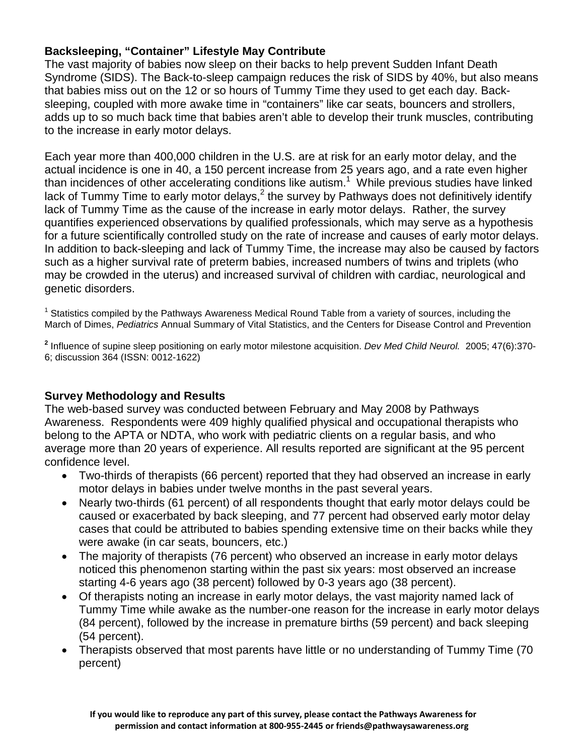# **Backsleeping, "Container" Lifestyle May Contribute**

The vast majority of babies now sleep on their backs to help prevent Sudden Infant Death Syndrome (SIDS). The Back-to-sleep campaign reduces the risk of SIDS by 40%, but also means that babies miss out on the 12 or so hours of Tummy Time they used to get each day. Backsleeping, coupled with more awake time in "containers" like car seats, bouncers and strollers, adds up to so much back time that babies aren't able to develop their trunk muscles, contributing to the increase in early motor delays.

Each year more than 400,000 children in the U.S. are at risk for an early motor delay, and the actual incidence is one in 40, a 150 percent increase from 25 years ago, and a rate even higher than incidences of other accelerating conditions like autism.<sup>1</sup> While previous studies have linked lack of Tummy Time to early motor delays, $<sup>2</sup>$  the survey by Pathways does not definitively identify</sup> lack of Tummy Time as the cause of the increase in early motor delays. Rather, the survey quantifies experienced observations by qualified professionals, which may serve as a hypothesis for a future scientifically controlled study on the rate of increase and causes of early motor delays. In addition to back-sleeping and lack of Tummy Time, the increase may also be caused by factors such as a higher survival rate of preterm babies, increased numbers of twins and triplets (who may be crowded in the uterus) and increased survival of children with cardiac, neurological and genetic disorders.

<sup>1</sup> Statistics compiled by the Pathways Awareness Medical Round Table from a variety of sources, including the March of Dimes, *Pediatrics* Annual Summary of Vital Statistics, and the Centers for Disease Control and Prevention

**<sup>2</sup>** Influence of supine sleep positioning on early motor milestone acquisition. *Dev Med Child Neurol.* 2005; 47(6):370- 6; discussion 364 (ISSN: 0012-1622)

## **Survey Methodology and Results**

The web-based survey was conducted between February and May 2008 by Pathways Awareness. Respondents were 409 highly qualified physical and occupational therapists who belong to the APTA or NDTA, who work with pediatric clients on a regular basis, and who average more than 20 years of experience. All results reported are significant at the 95 percent confidence level.

- Two-thirds of therapists (66 percent) reported that they had observed an increase in early motor delays in babies under twelve months in the past several years.
- Nearly two-thirds (61 percent) of all respondents thought that early motor delays could be caused or exacerbated by back sleeping, and 77 percent had observed early motor delay cases that could be attributed to babies spending extensive time on their backs while they were awake (in car seats, bouncers, etc.)
- The majority of therapists (76 percent) who observed an increase in early motor delays noticed this phenomenon starting within the past six years: most observed an increase starting 4-6 years ago (38 percent) followed by 0-3 years ago (38 percent).
- Of therapists noting an increase in early motor delays, the vast majority named lack of Tummy Time while awake as the number-one reason for the increase in early motor delays (84 percent), followed by the increase in premature births (59 percent) and back sleeping (54 percent).
- Therapists observed that most parents have little or no understanding of Tummy Time (70 percent)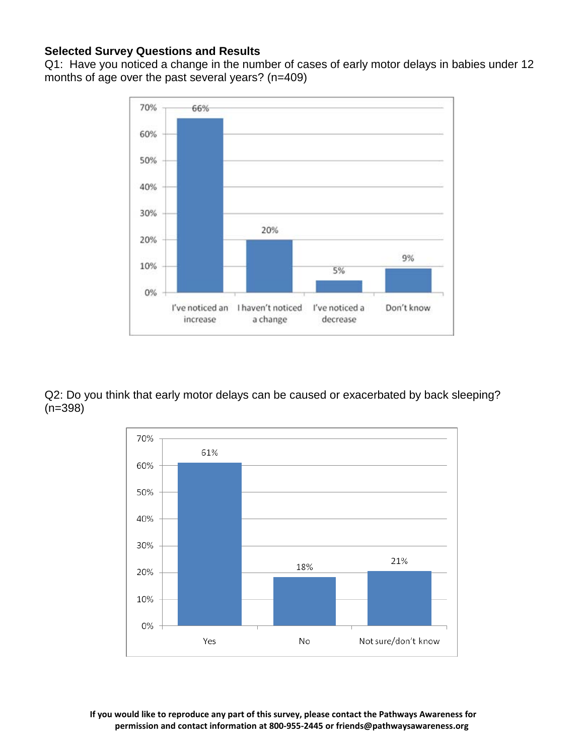# **Selected Survey Questions and Results**

Q1: Have you noticed a change in the number of cases of early motor delays in babies under 12 months of age over the past several years? (n=409)



Q2: Do you think that early motor delays can be caused or exacerbated by back sleeping? (n=398)



**If you would like to reproduce any part of this survey, please contact the Pathways Awareness for permission and contact information at 800-955-2445 o[r friends@pathwaysawareness.org](mailto:friends@pathwaysawareness.org)**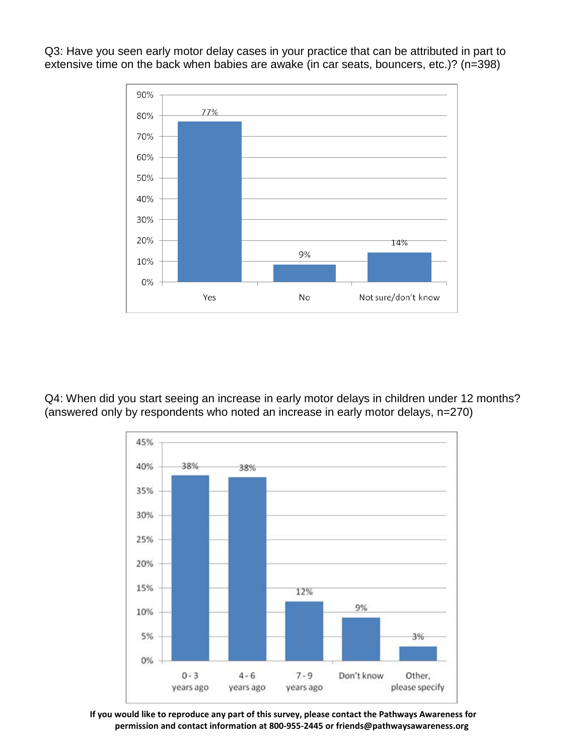Q3: Have you seen early motor delay cases in your practice that can be attributed in part to extensive time on the back when babies are awake (in car seats, bouncers, etc.)? (n=398)



Q4: When did you start seeing an increase in early motor delays in children under 12 months? (answered only by respondents who noted an increase in early motor delays, n=270)



**If you would like to reproduce any part of this survey, please contact the Pathways Awareness for permission and contact information at 800-955-2445 o[r friends@pathwaysawareness.org](mailto:friends@pathwaysawareness.org)**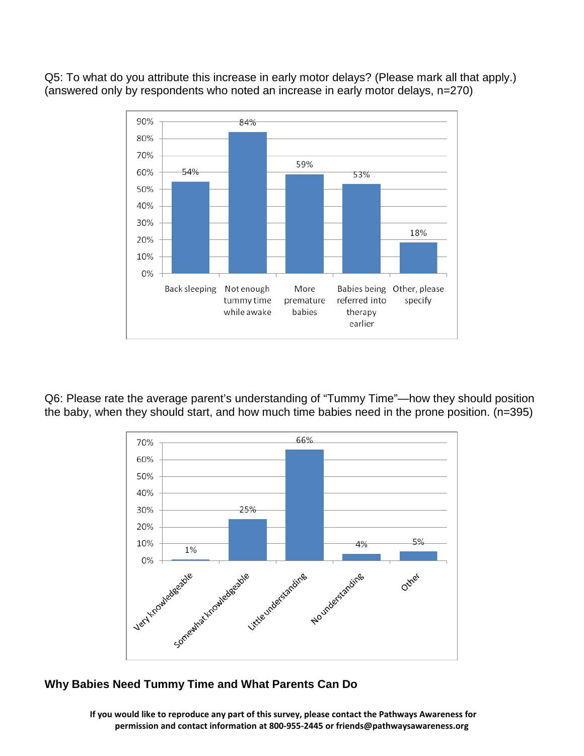Q5: To what do you attribute this increase in early motor delays? (Please mark all that apply.) (answered only by respondents who noted an increase in early motor delays, n=270)



Q6: Please rate the average parent's understanding of "Tummy Time"—how they should position the baby, when they should start, and how much time babies need in the prone position. (n=395)



## **Why Babies Need Tummy Time and What Parents Can Do**

**If you would like to reproduce any part of this survey, please contact the Pathways Awareness for permission and contact information at 800-955-2445 o[r friends@pathwaysawareness.org](mailto:friends@pathwaysawareness.org)**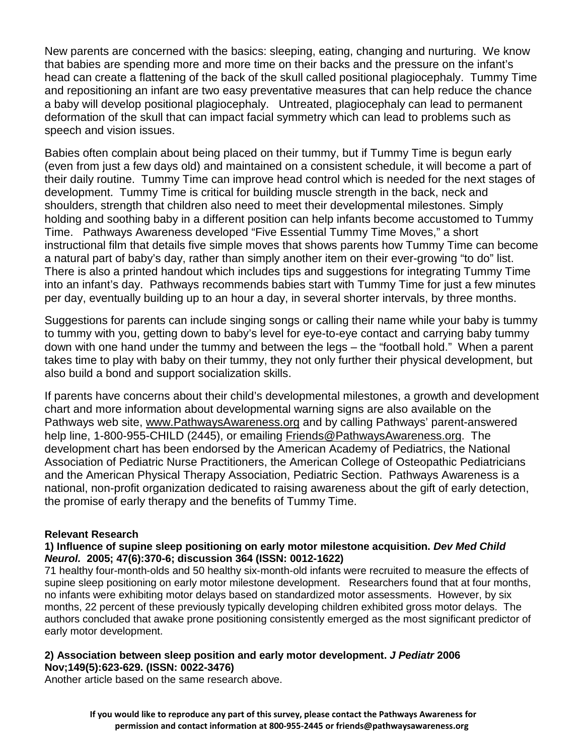New parents are concerned with the basics: sleeping, eating, changing and nurturing. We know that babies are spending more and more time on their backs and the pressure on the infant's head can create a flattening of the back of the skull called positional plagiocephaly. Tummy Time and repositioning an infant are two easy preventative measures that can help reduce the chance a baby will develop positional plagiocephaly. Untreated, plagiocephaly can lead to permanent deformation of the skull that can impact facial symmetry which can lead to problems such as speech and vision issues.

Babies often complain about being placed on their tummy, but if Tummy Time is begun early (even from just a few days old) and maintained on a consistent schedule, it will become a part of their daily routine. Tummy Time can improve head control which is needed for the next stages of development. Tummy Time is critical for building muscle strength in the back, neck and shoulders, strength that children also need to meet their developmental milestones. Simply holding and soothing baby in a different position can help infants become accustomed to Tummy Time. Pathways Awareness developed "Five Essential Tummy Time Moves," a short instructional film that details five simple moves that shows parents how Tummy Time can become a natural part of baby's day, rather than simply another item on their ever-growing "to do" list. There is also a printed handout which includes tips and suggestions for integrating Tummy Time into an infant's day. Pathways recommends babies start with Tummy Time for just a few minutes per day, eventually building up to an hour a day, in several shorter intervals, by three months.

Suggestions for parents can include singing songs or calling their name while your baby is tummy to tummy with you, getting down to baby's level for eye-to-eye contact and carrying baby tummy down with one hand under the tummy and between the legs – the "football hold." When a parent takes time to play with baby on their tummy, they not only further their physical development, but also build a bond and support socialization skills.

If parents have concerns about their child's developmental milestones, a growth and development chart and more information about developmental warning signs are also available on the Pathways web site, [www.PathwaysAwareness.org](http://www.pathwaysawareness.org/) and by calling Pathways' parent-answered help line, 1-800-955-CHILD (2445), or emailing [Friends@PathwaysAwareness.org.](mailto:Friends@PathwaysAwareness.org) The development chart has been endorsed by the American Academy of Pediatrics, the National Association of Pediatric Nurse Practitioners, the American College of Osteopathic Pediatricians and the American Physical Therapy Association, Pediatric Section. Pathways Awareness is a national, non-profit organization dedicated to raising awareness about the gift of early detection, the promise of early therapy and the benefits of Tummy Time.

#### **Relevant Research**

#### **1) Influence of supine sleep positioning on early motor milestone acquisition.** *Dev Med Child Neurol.* **2005; 47(6):370-6; discussion 364 (ISSN: 0012-1622)**

71 healthy four-month-olds and 50 healthy six-month-old infants were recruited to measure the effects of supine sleep positioning on early motor milestone development. Researchers found that at four months, no infants were exhibiting motor delays based on standardized motor assessments. However, by six months, 22 percent of these previously typically developing children exhibited gross motor delays. The authors concluded that awake prone positioning consistently emerged as the most significant predictor of early motor development.

#### **2) Association between sleep position and early motor development.** *J Pediatr* **2006 Nov;149(5):623-629. (ISSN: 0022-3476)**

Another article based on the same research above.